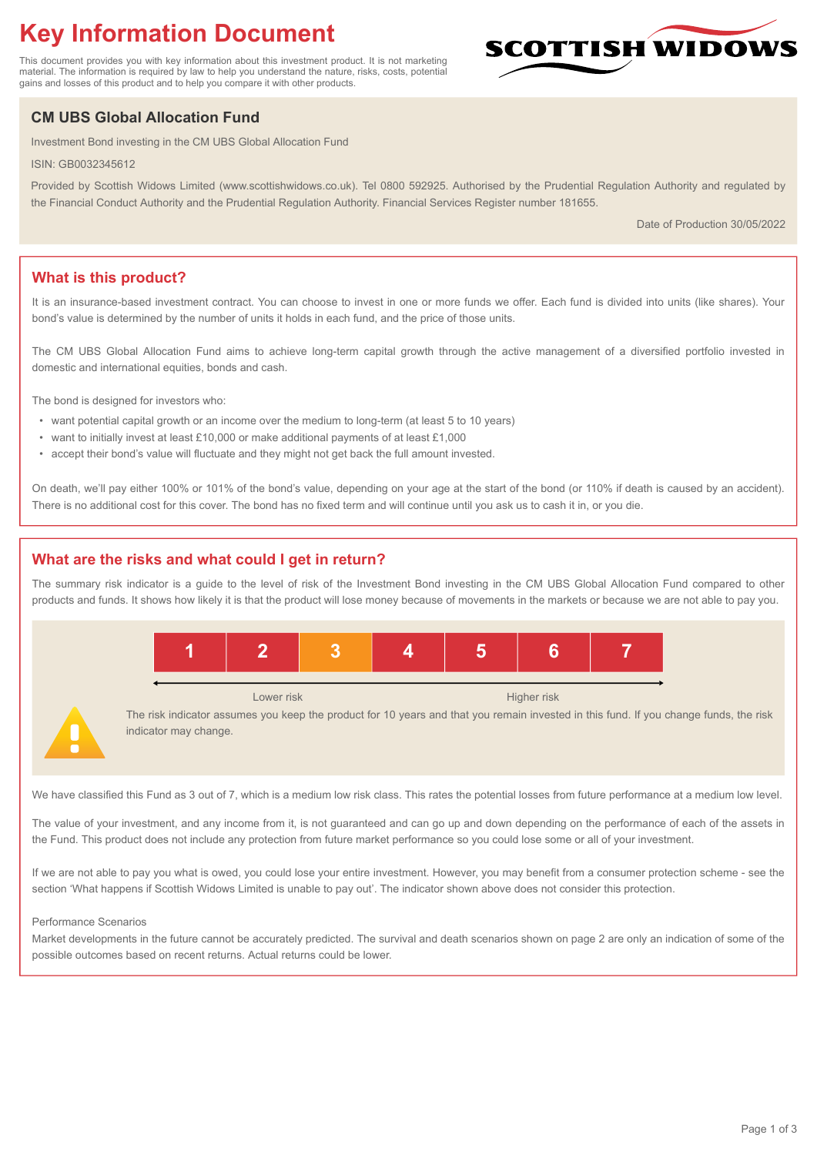# **Key Information Document**

This document provides you with key information about this investment product. It is not marketing material. The information is required by law to help you understand the nature, risks, costs, potential gains and losses of this product and to help you compare it with other products.

## **CM UBS Global Allocation Fund**

Investment Bond investing in the CM UBS Global Allocation Fund

ISIN: GB0032345612

Provided by Scottish Widows Limited (www.scottishwidows.co.uk). Tel 0800 592925. Authorised by the Prudential Regulation Authority and regulated by the Financial Conduct Authority and the Prudential Regulation Authority. Financial Services Register number 181655.

Date of Production 30/05/2022

**SCOTTISH WIDOW** 

## **What is this product?**

It is an insurance-based investment contract. You can choose to invest in one or more funds we offer. Each fund is divided into units (like shares). Your bond's value is determined by the number of units it holds in each fund, and the price of those units.

The CM UBS Global Allocation Fund aims to achieve long-term capital growth through the active management of a diversified portfolio invested in domestic and international equities, bonds and cash.

The bond is designed for investors who:

- want potential capital growth or an income over the medium to long-term (at least 5 to 10 years)
- want to initially invest at least £10,000 or make additional payments of at least £1,000
- accept their bond's value will fluctuate and they might not get back the full amount invested.

On death, we'll pay either 100% or 101% of the bond's value, depending on your age at the start of the bond (or 110% if death is caused by an accident). There is no additional cost for this cover. The bond has no fixed term and will continue until you ask us to cash it in, or you die.

## **What are the risks and what could I get in return?**

The summary risk indicator is a guide to the level of risk of the Investment Bond investing in the CM UBS Global Allocation Fund compared to other products and funds. It shows how likely it is that the product will lose money because of movements in the markets or because we are not able to pay you.



We have classified this Fund as 3 out of 7, which is a medium low risk class. This rates the potential losses from future performance at a medium low level.

The value of your investment, and any income from it, is not guaranteed and can go up and down depending on the performance of each of the assets in the Fund. This product does not include any protection from future market performance so you could lose some or all of your investment.

If we are not able to pay you what is owed, you could lose your entire investment. However, you may benefit from a consumer protection scheme - see the section 'What happens if Scottish Widows Limited is unable to pay out'. The indicator shown above does not consider this protection.

#### Performance Scenarios

Market developments in the future cannot be accurately predicted. The survival and death scenarios shown on page 2 are only an indication of some of the possible outcomes based on recent returns. Actual returns could be lower.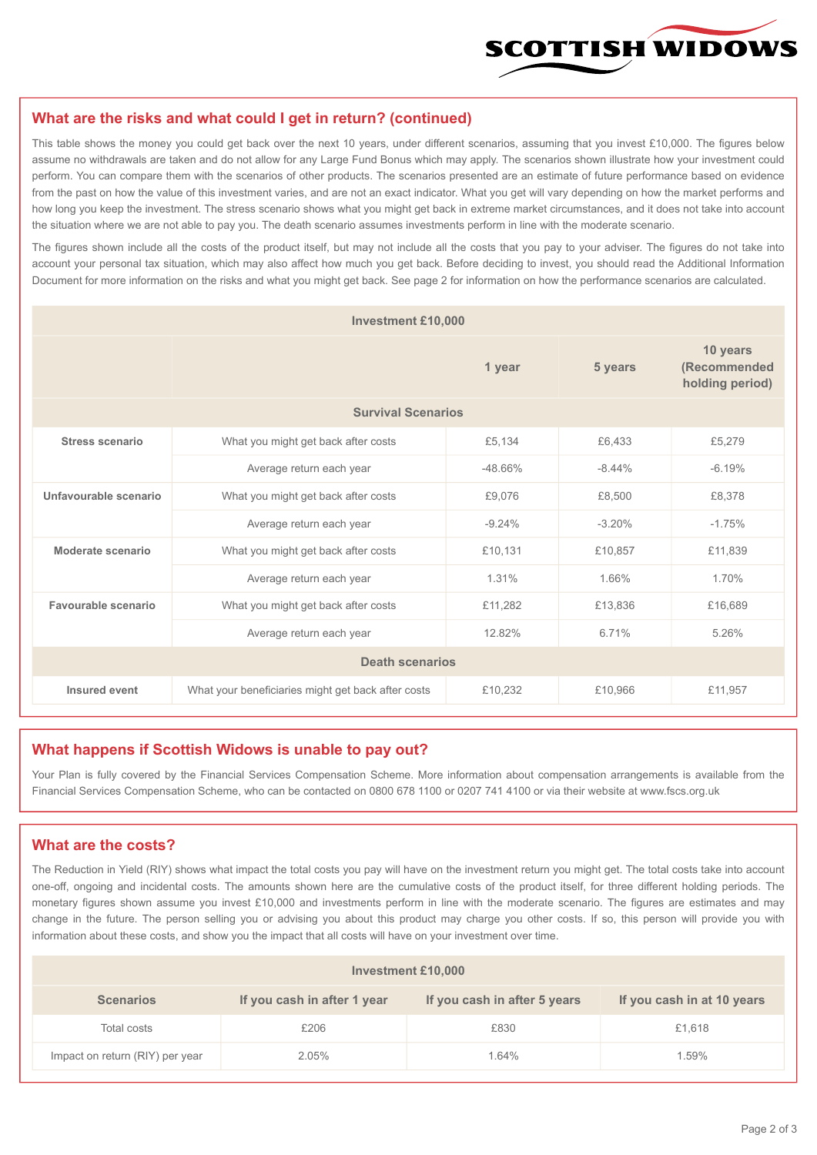

#### **What are the risks and what could I get in return? (continued)**

This table shows the money you could get back over the next 10 years, under different scenarios, assuming that you invest £10,000. The figures below assume no withdrawals are taken and do not allow for any Large Fund Bonus which may apply. The scenarios shown illustrate how your investment could perform. You can compare them with the scenarios of other products. The scenarios presented are an estimate of future performance based on evidence from the past on how the value of this investment varies, and are not an exact indicator. What you get will vary depending on how the market performs and how long you keep the investment. The stress scenario shows what you might get back in extreme market circumstances, and it does not take into account the situation where we are not able to pay you. The death scenario assumes investments perform in line with the moderate scenario.

The figures shown include all the costs of the product itself, but may not include all the costs that you pay to your adviser. The figures do not take into account your personal tax situation, which may also affect how much you get back. Before deciding to invest, you should read the Additional Information Document for more information on the risks and what you might get back. See page 2 for information on how the performance scenarios are calculated.

| <b>Investment £10,000</b> |                                                    |          |                                             |          |  |  |  |
|---------------------------|----------------------------------------------------|----------|---------------------------------------------|----------|--|--|--|
|                           |                                                    | 5 years  | 10 years<br>(Recommended<br>holding period) |          |  |  |  |
| <b>Survival Scenarios</b> |                                                    |          |                                             |          |  |  |  |
| Stress scenario           | What you might get back after costs                | £5,134   | £6.433                                      | £5,279   |  |  |  |
|                           | $-48.66%$<br>Average return each year              |          | $-8.44%$                                    | $-6.19%$ |  |  |  |
| Unfavourable scenario     | What you might get back after costs<br>£9,076      |          | £8.500                                      | £8,378   |  |  |  |
|                           | Average return each year                           | $-9.24%$ | $-3.20%$                                    | $-1.75%$ |  |  |  |
| Moderate scenario         | What you might get back after costs                | £10,131  | £10,857                                     | £11,839  |  |  |  |
|                           | Average return each year                           | 1.31%    | 1.66%                                       | 1.70%    |  |  |  |
| Favourable scenario       | What you might get back after costs                | £11,282  | £13,836                                     | £16,689  |  |  |  |
|                           | 12.82%<br>Average return each year                 |          | 6.71%                                       | 5.26%    |  |  |  |
| <b>Death scenarios</b>    |                                                    |          |                                             |          |  |  |  |
| Insured event             | What your beneficiaries might get back after costs | £10,232  | £10,966                                     | £11,957  |  |  |  |

#### **What happens if Scottish Widows is unable to pay out?**

Your Plan is fully covered by the Financial Services Compensation Scheme. More information about compensation arrangements is available from the Financial Services Compensation Scheme, who can be contacted on 0800 678 1100 or 0207 741 4100 or via their website at www.fscs.org.uk

#### **What are the costs?**

The Reduction in Yield (RIY) shows what impact the total costs you pay will have on the investment return you might get. The total costs take into account one-off, ongoing and incidental costs. The amounts shown here are the cumulative costs of the product itself, for three different holding periods. The monetary figures shown assume you invest £10,000 and investments perform in line with the moderate scenario. The figures are estimates and may change in the future. The person selling you or advising you about this product may charge you other costs. If so, this person will provide you with information about these costs, and show you the impact that all costs will have on your investment over time.

| Investment £10,000              |                             |                              |                            |  |  |  |
|---------------------------------|-----------------------------|------------------------------|----------------------------|--|--|--|
| <b>Scenarios</b>                | If you cash in after 1 year | If you cash in after 5 years | If you cash in at 10 years |  |  |  |
| Total costs                     | £206                        | £830                         | £1,618                     |  |  |  |
| Impact on return (RIY) per year | 2.05%                       | 1.64%                        | 1.59%                      |  |  |  |